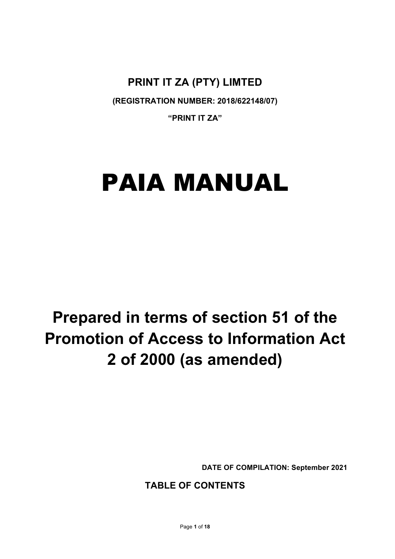**PRINT IT ZA (PTY) LIMTED**

**(REGISTRATION NUMBER: 2018/622148/07)**

**"PRINT IT ZA"**

# PAIA MANUAL

## **Prepared in terms of section 51 of the Promotion of Access to Information Act 2 of 2000 (as amended)**

**DATE OF COMPILATION: September 2021**

## **TABLE OF CONTENTS**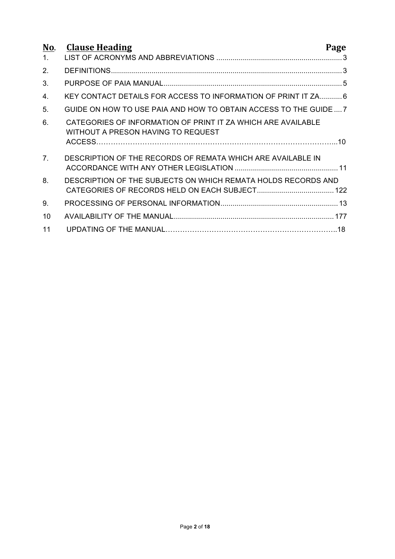| No.<br>1.      | <b>Clause Heading</b>                                                                              | Page |
|----------------|----------------------------------------------------------------------------------------------------|------|
| 2.             |                                                                                                    |      |
| 3.             |                                                                                                    |      |
| 4.             | KEY CONTACT DETAILS FOR ACCESS TO INFORMATION OF PRINT IT ZA 6                                     |      |
| 5.             | GUIDE ON HOW TO USE PAIA AND HOW TO OBTAIN ACCESS TO THE GUIDE7                                    |      |
| 6.             | CATEGORIES OF INFORMATION OF PRINT IT ZA WHICH ARE AVAILABLE<br>WITHOUT A PRESON HAVING TO REQUEST |      |
| 7 <sub>1</sub> | DESCRIPTION OF THE RECORDS OF REMATA WHICH ARE AVAILABLE IN                                        |      |
| 8.             | DESCRIPTION OF THE SUBJECTS ON WHICH REMATA HOLDS RECORDS AND                                      |      |
| 9.             |                                                                                                    |      |
| 10             |                                                                                                    |      |
| 11             |                                                                                                    |      |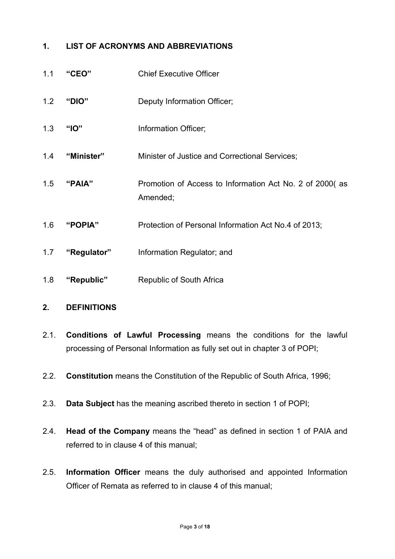## **1. LIST OF ACRONYMS AND ABBREVIATIONS**

| 1.1 | "CEO"       | <b>Chief Executive Officer</b>                                      |
|-----|-------------|---------------------------------------------------------------------|
| 1.2 | "DIO"       | Deputy Information Officer;                                         |
| 1.3 | "IO"        | Information Officer;                                                |
| 1.4 | "Minister"  | Minister of Justice and Correctional Services;                      |
| 1.5 | "PAIA"      | Promotion of Access to Information Act No. 2 of 2000(as<br>Amended; |
| 1.6 | "POPIA"     | Protection of Personal Information Act No.4 of 2013;                |
| 1.7 | "Regulator" | Information Regulator; and                                          |
| 1.8 | "Republic"  | <b>Republic of South Africa</b>                                     |

## **2. DEFINITIONS**

- 2.1. **Conditions of Lawful Processing** means the conditions for the lawful processing of Personal Information as fully set out in chapter 3 of POPI;
- 2.2. **Constitution** means the Constitution of the Republic of South Africa, 1996;
- 2.3. **Data Subject** has the meaning ascribed thereto in section 1 of POPI;
- 2.4. **Head of the Company** means the "head" as defined in section 1 of PAIA and referred to in clause 4 of this manual;
- 2.5. **Information Officer** means the duly authorised and appointed Information Officer of Remata as referred to in clause 4 of this manual;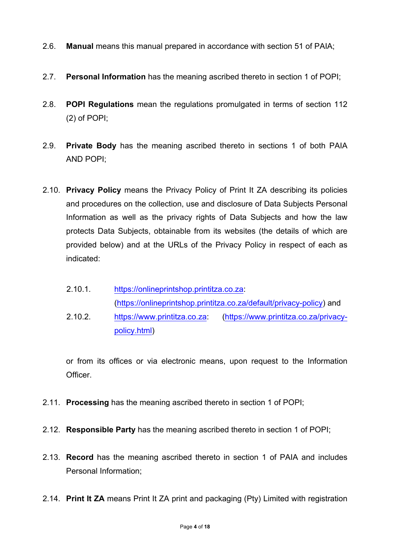- 2.6. **Manual** means this manual prepared in accordance with section 51 of PAIA;
- 2.7. **Personal Information** has the meaning ascribed thereto in section 1 of POPI;
- 2.8. **POPI Regulations** mean the regulations promulgated in terms of section 112 (2) of POPI;
- 2.9. **Private Body** has the meaning ascribed thereto in sections 1 of both PAIA AND POPI;
- 2.10. **Privacy Policy** means the Privacy Policy of Print It ZA describing its policies and procedures on the collection, use and disclosure of Data Subjects Personal Information as well as the privacy rights of Data Subjects and how the law protects Data Subjects, obtainable from its websites (the details of which are provided below) and at the URLs of the Privacy Policy in respect of each as indicated:
	- 2.10.1. https://onlineprintshop.printitza.co.za: (https://onlineprintshop.printitza.co.za/default/privacy-policy) and
	- 2.10.2. https://www.printitza.co.za: (https://www.printitza.co.za/privacypolicy.html)

or from its offices or via electronic means, upon request to the Information Officer.

- 2.11. **Processing** has the meaning ascribed thereto in section 1 of POPI;
- 2.12. **Responsible Party** has the meaning ascribed thereto in section 1 of POPI;
- 2.13. **Record** has the meaning ascribed thereto in section 1 of PAIA and includes Personal Information;
- 2.14. **Print It ZA** means Print It ZA print and packaging (Pty) Limited with registration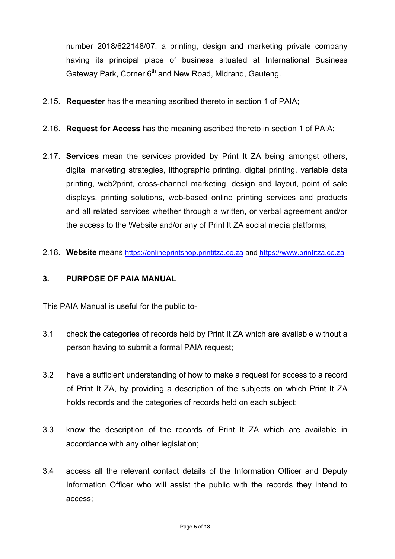number 2018/622148/07, a printing, design and marketing private company having its principal place of business situated at International Business Gateway Park, Corner 6<sup>th</sup> and New Road, Midrand, Gauteng.

- 2.15. **Requester** has the meaning ascribed thereto in section 1 of PAIA;
- 2.16. **Request for Access** has the meaning ascribed thereto in section 1 of PAIA;
- 2.17. **Services** mean the services provided by Print It ZA being amongst others, digital marketing strategies, lithographic printing, digital printing, variable data printing, web2print, cross-channel marketing, design and layout, point of sale displays, printing solutions, web-based online printing services and products and all related services whether through a written, or verbal agreement and/or the access to the Website and/or any of Print It ZA social media platforms;
- 2.18. **Website** means https://onlineprintshop.printitza.co.za and https://www.printitza.co.za

#### **3. PURPOSE OF PAIA MANUAL**

This PAIA Manual is useful for the public to-

- 3.1 check the categories of records held by Print It ZA which are available without a person having to submit a formal PAIA request;
- 3.2 have a sufficient understanding of how to make a request for access to a record of Print It ZA, by providing a description of the subjects on which Print It ZA holds records and the categories of records held on each subject;
- 3.3 know the description of the records of Print It ZA which are available in accordance with any other legislation;
- 3.4 access all the relevant contact details of the Information Officer and Deputy Information Officer who will assist the public with the records they intend to access;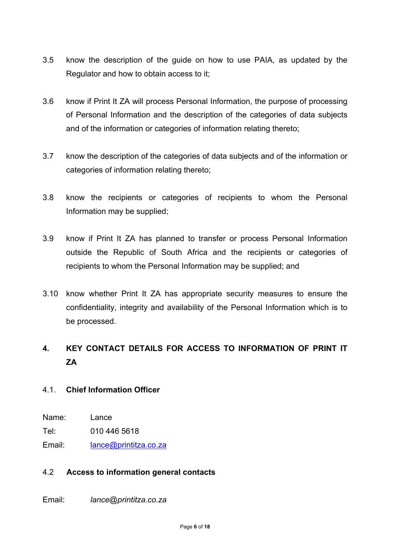- 3.5 know the description of the guide on how to use PAIA, as updated by the Regulator and how to obtain access to it;
- 3.6 know if Print It ZA will process Personal Information, the purpose of processing of Personal Information and the description of the categories of data subjects and of the information or categories of information relating thereto;
- 3.7 know the description of the categories of data subjects and of the information or categories of information relating thereto;
- 3.8 know the recipients or categories of recipients to whom the Personal Information may be supplied;
- 3.9 know if Print It ZA has planned to transfer or process Personal Information outside the Republic of South Africa and the recipients or categories of recipients to whom the Personal Information may be supplied; and
- 3.10 know whether Print It ZA has appropriate security measures to ensure the confidentiality, integrity and availability of the Personal Information which is to be processed.

## **4. KEY CONTACT DETAILS FOR ACCESS TO INFORMATION OF PRINT IT ZA**

#### 4.1. **Chief Information Officer**

- Name: Lance
- Tel: 010 446 5618

Email: lance@printitza.co.za

#### 4.2 **Access to information general contacts**

Email: *lance@printitza.co.za*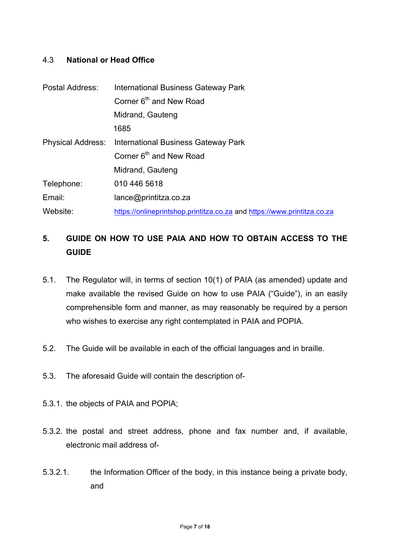#### 4.3 **National or Head Office**

| Postal Address: | International Business Gateway Park                                     |  |  |
|-----------------|-------------------------------------------------------------------------|--|--|
|                 | Corner 6 <sup>th</sup> and New Road                                     |  |  |
|                 | Midrand, Gauteng                                                        |  |  |
|                 | 1685                                                                    |  |  |
|                 | <b>Physical Address:</b> International Business Gateway Park            |  |  |
|                 | Corner 6 <sup>th</sup> and New Road                                     |  |  |
|                 | Midrand, Gauteng                                                        |  |  |
| Telephone:      | 010 446 5618                                                            |  |  |
| Email:          | lance@printitza.co.za                                                   |  |  |
| Website:        | https://onlineprintshop.printitza.co.za and https://www.printitza.co.za |  |  |

## **5. GUIDE ON HOW TO USE PAIA AND HOW TO OBTAIN ACCESS TO THE GUIDE**

- 5.1. The Regulator will, in terms of section 10(1) of PAIA (as amended) update and make available the revised Guide on how to use PAIA ("Guide"), in an easily comprehensible form and manner, as may reasonably be required by a person who wishes to exercise any right contemplated in PAIA and POPIA.
- 5.2. The Guide will be available in each of the official languages and in braille.
- 5.3. The aforesaid Guide will contain the description of-
- 5.3.1. the objects of PAIA and POPIA;
- 5.3.2. the postal and street address, phone and fax number and, if available, electronic mail address of-
- 5.3.2.1. the Information Officer of the body, in this instance being a private body, and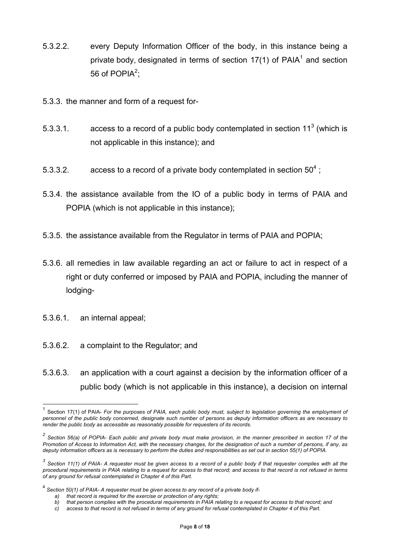- 5.3.2.2. every Deputy Information Officer of the body, in this instance being a private body, designated in terms of section  $17(1)$  of PAIA<sup>1</sup> and section 56 of POPIA<sup>2</sup>;
- 5.3.3. the manner and form of a request for-
- 5.3.3.1. access to a record of a public body contemplated in section  $11<sup>3</sup>$  (which is not applicable in this instance); and
- 5.3.3.2. access to a record of a private body contemplated in section  $50^4$  :
- 5.3.4. the assistance available from the IO of a public body in terms of PAIA and POPIA (which is not applicable in this instance);
- 5.3.5. the assistance available from the Regulator in terms of PAIA and POPIA;
- 5.3.6. all remedies in law available regarding an act or failure to act in respect of a right or duty conferred or imposed by PAIA and POPIA, including the manner of lodging-
- 5.3.6.1. an internal appeal;
- 5.3.6.2. a complaint to the Regulator; and
- 5.3.6.3. an application with a court against a decision by the information officer of a public body (which is not applicable in this instance), a decision on internal

 <sup>1</sup> Section 17(1) of PAIA- *For the purposes of PAIA, each public body must, subject to legislation governing the employment of personnel of the public body concerned, designate such number of persons as deputy information officers as are necessary to render the public body as accessible as reasonably possible for requesters of its records.*

*<sup>2</sup> Section 56(a) of POPIA- Each public and private body must make provision, in the manner prescribed in section 17 of the Promotion of Access to Information Act, with the necessary changes, for the designation of such a number of persons, if any, as deputy information officers as is necessary to perform the duties and responsibilities as set out in section 55(1) of POPIA.*

*<sup>3</sup> Section 11(1) of PAIA- A requester must be given access to a record of a public body if that requester complies with all the procedural requirements in PAIA relating to a request for access to that record; and access to that record is not refused in terms of any ground for refusal contemplated in Chapter 4 of this Part.*

<sup>4</sup> *Section 50(1) of PAIA- A requester must be given access to any record of a private body if-*

*a) that record is required for the exercise or protection of any rights;*

*b) that person complies with the procedural requirements in PAIA relating to a request for access to that record; and*

*c) access to that record is not refused in terms of any ground for refusal contemplated in Chapter 4 of this Part.*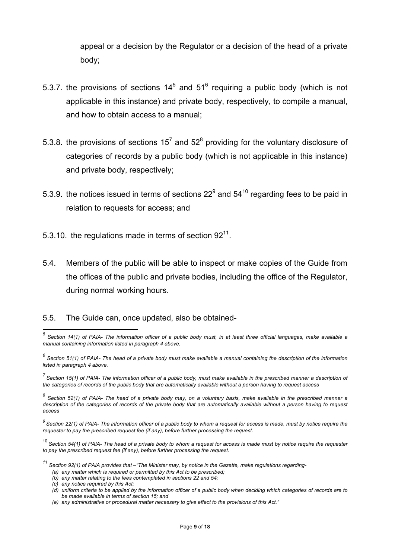appeal or a decision by the Regulator or a decision of the head of a private body;

- 5.3.7. the provisions of sections  $14^5$  and  $51^6$  requiring a public body (which is not applicable in this instance) and private body, respectively, to compile a manual, and how to obtain access to a manual;
- 5.3.8. the provisions of sections  $15^7$  and  $52^8$  providing for the voluntary disclosure of categories of records by a public body (which is not applicable in this instance) and private body, respectively;
- 5.3.9. the notices issued in terms of sections  $22^9$  and  $54^{10}$  regarding fees to be paid in relation to requests for access; and
- 5.3.10. the regulations made in terms of section  $92<sup>11</sup>$ .
- 5.4. Members of the public will be able to inspect or make copies of the Guide from the offices of the public and private bodies, including the office of the Regulator, during normal working hours.
- 5.5. The Guide can, once updated, also be obtained-

*(c) any notice required by this Act;*

 *<sup>5</sup> Section 14(1) of PAIA- The information officer of a public body must, in at least three official languages, make available a manual containing information listed in paragraph 4 above.*

*<sup>6</sup> Section 51(1) of PAIA- The head of a private body must make available a manual containing the description of the information listed in paragraph 4 above.*

*<sup>7</sup> Section 15(1) of PAIA- The information officer of a public body, must make available in the prescribed manner a description of the categories of records of the public body that are automatically available without a person having to request access*

*<sup>8</sup> Section 52(1) of PAIA- The head of a private body may, on a voluntary basis, make available in the prescribed manner a description of the categories of records of the private body that are automatically available without a person having to request access*

*<sup>9</sup> Section 22(1) of PAIA- The information officer of a public body to whom a request for access is made, must by notice require the requester to pay the prescribed request fee (if any), before further processing the request.*

<sup>10</sup> *Section 54(1) of PAIA- The head of a private body to whom a request for access is made must by notice require the requester to pay the prescribed request fee (if any), before further processing the request.*

*<sup>11</sup> Section 92(1) of PAIA provides that –"The Minister may, by notice in the Gazette, make regulations regarding-*

*<sup>(</sup>a) any matter which is required or permitted by this Act to be prescribed;*

*<sup>(</sup>b) any matter relating to the fees contemplated in sections 22 and 54;*

*<sup>(</sup>d) uniform criteria to be applied by the information officer of a public body when deciding which categories of records are to be made available in terms of section 15; and*

*<sup>(</sup>e) any administrative or procedural matter necessary to give effect to the provisions of this Act."*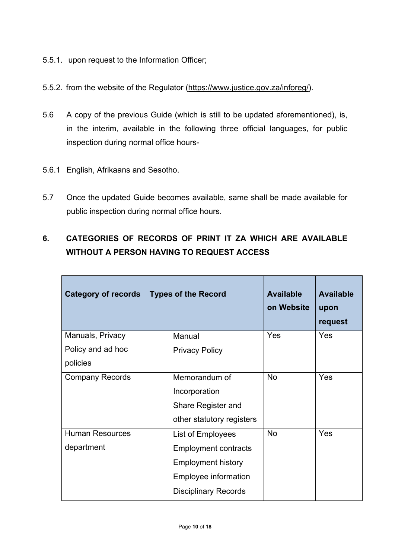- 5.5.1. upon request to the Information Officer;
- 5.5.2. from the website of the Regulator (https://www.justice.gov.za/inforeg/).
- 5.6 A copy of the previous Guide (which is still to be updated aforementioned), is, in the interim, available in the following three official languages, for public inspection during normal office hours-
- 5.6.1 English, Afrikaans and Sesotho.
- 5.7 Once the updated Guide becomes available, same shall be made available for public inspection during normal office hours.

## **6. CATEGORIES OF RECORDS OF PRINT IT ZA WHICH ARE AVAILABLE WITHOUT A PERSON HAVING TO REQUEST ACCESS**

| <b>Category of records</b> | <b>Types of the Record</b>  | <b>Available</b><br>on Website | <b>Available</b><br>upon<br>request |
|----------------------------|-----------------------------|--------------------------------|-------------------------------------|
| Manuals, Privacy           | Manual                      | Yes                            | Yes                                 |
| Policy and ad hoc          | <b>Privacy Policy</b>       |                                |                                     |
| policies                   |                             |                                |                                     |
| <b>Company Records</b>     | Memorandum of               | <b>No</b>                      | Yes                                 |
|                            | Incorporation               |                                |                                     |
|                            | Share Register and          |                                |                                     |
|                            | other statutory registers   |                                |                                     |
| <b>Human Resources</b>     | List of Employees           | <b>No</b>                      | Yes                                 |
| department                 | <b>Employment contracts</b> |                                |                                     |
|                            | <b>Employment history</b>   |                                |                                     |
|                            | Employee information        |                                |                                     |
|                            | <b>Disciplinary Records</b> |                                |                                     |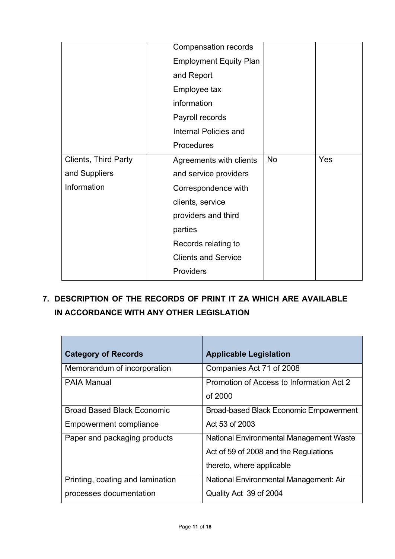|                             | Compensation records          |           |     |
|-----------------------------|-------------------------------|-----------|-----|
|                             | <b>Employment Equity Plan</b> |           |     |
|                             | and Report                    |           |     |
|                             | Employee tax                  |           |     |
|                             | information                   |           |     |
|                             | Payroll records               |           |     |
|                             | <b>Internal Policies and</b>  |           |     |
|                             | Procedures                    |           |     |
| <b>Clients, Third Party</b> | Agreements with clients       | <b>No</b> | Yes |
| and Suppliers               | and service providers         |           |     |
| Information                 | Correspondence with           |           |     |
|                             | clients, service              |           |     |
|                             | providers and third           |           |     |
|                             | parties                       |           |     |
|                             | Records relating to           |           |     |
|                             | <b>Clients and Service</b>    |           |     |
|                             | Providers                     |           |     |

**7. DESCRIPTION OF THE RECORDS OF PRINT IT ZA WHICH ARE AVAILABLE IN ACCORDANCE WITH ANY OTHER LEGISLATION**

| <b>Category of Records</b>        | <b>Applicable Legislation</b>                       |
|-----------------------------------|-----------------------------------------------------|
| Memorandum of incorporation       | Companies Act 71 of 2008                            |
| <b>PAIA Manual</b>                | Promotion of Access to Information Act 2<br>of 2000 |
| <b>Broad Based Black Economic</b> | <b>Broad-based Black Economic Empowerment</b>       |
| Empowerment compliance            | Act 53 of 2003                                      |
| Paper and packaging products      | National Environmental Management Waste             |
|                                   | Act of 59 of 2008 and the Regulations               |
|                                   | thereto, where applicable                           |
| Printing, coating and lamination  | National Environmental Management: Air              |
| processes documentation           | Quality Act 39 of 2004                              |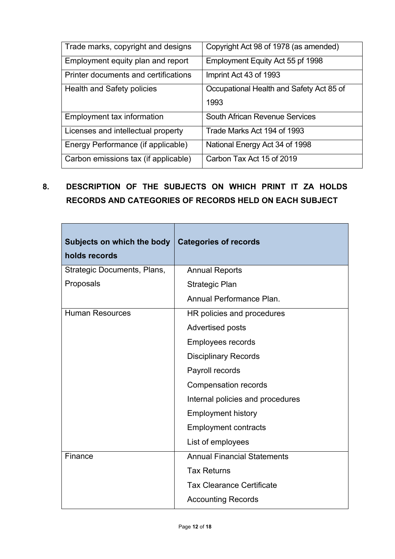| Trade marks, copyright and designs   | Copyright Act 98 of 1978 (as amended)    |
|--------------------------------------|------------------------------------------|
| Employment equity plan and report    | Employment Equity Act 55 pf 1998         |
| Printer documents and certifications | Imprint Act 43 of 1993                   |
| Health and Safety policies           | Occupational Health and Safety Act 85 of |
|                                      | 1993                                     |
| Employment tax information           | South African Revenue Services           |
| Licenses and intellectual property   | Trade Marks Act 194 of 1993              |
| Energy Performance (if applicable)   | National Energy Act 34 of 1998           |
| Carbon emissions tax (if applicable) | Carbon Tax Act 15 of 2019                |

## **8. DESCRIPTION OF THE SUBJECTS ON WHICH PRINT IT ZA HOLDS RECORDS AND CATEGORIES OF RECORDS HELD ON EACH SUBJECT**

 $\overline{\phantom{a}}$ 

| Subjects on which the body<br>holds records | <b>Categories of records</b>       |
|---------------------------------------------|------------------------------------|
| Strategic Documents, Plans,                 | <b>Annual Reports</b>              |
| Proposals                                   | Strategic Plan                     |
|                                             | Annual Performance Plan.           |
| <b>Human Resources</b>                      | HR policies and procedures         |
|                                             | <b>Advertised posts</b>            |
|                                             | <b>Employees records</b>           |
|                                             | <b>Disciplinary Records</b>        |
|                                             | Payroll records                    |
|                                             | <b>Compensation records</b>        |
|                                             | Internal policies and procedures   |
|                                             | <b>Employment history</b>          |
|                                             | <b>Employment contracts</b>        |
|                                             | List of employees                  |
| Finance                                     | <b>Annual Financial Statements</b> |
|                                             | <b>Tax Returns</b>                 |
|                                             | <b>Tax Clearance Certificate</b>   |
|                                             | <b>Accounting Records</b>          |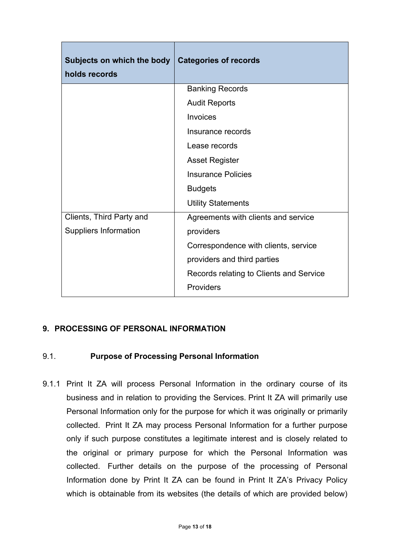| Subjects on which the body<br>holds records | <b>Categories of records</b>            |
|---------------------------------------------|-----------------------------------------|
|                                             | <b>Banking Records</b>                  |
|                                             | <b>Audit Reports</b>                    |
|                                             | <b>Invoices</b>                         |
|                                             | Insurance records                       |
|                                             | Lease records                           |
|                                             | <b>Asset Register</b>                   |
|                                             | <b>Insurance Policies</b>               |
|                                             | <b>Budgets</b>                          |
|                                             | <b>Utility Statements</b>               |
| Clients, Third Party and                    | Agreements with clients and service     |
| <b>Suppliers Information</b>                | providers                               |
|                                             | Correspondence with clients, service    |
|                                             | providers and third parties             |
|                                             | Records relating to Clients and Service |
|                                             | <b>Providers</b>                        |

## **9. PROCESSING OF PERSONAL INFORMATION**

#### 9.1. **Purpose of Processing Personal Information**

9.1.1 Print It ZA will process Personal Information in the ordinary course of its business and in relation to providing the Services. Print It ZA will primarily use Personal Information only for the purpose for which it was originally or primarily collected. Print It ZA may process Personal Information for a further purpose only if such purpose constitutes a legitimate interest and is closely related to the original or primary purpose for which the Personal Information was collected. Further details on the purpose of the processing of Personal Information done by Print It ZA can be found in Print It ZA's Privacy Policy which is obtainable from its websites (the details of which are provided below)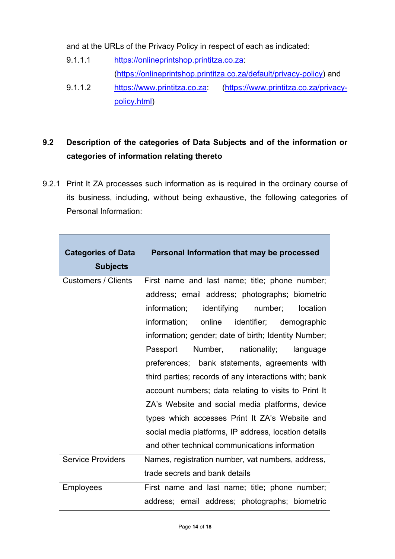and at the URLs of the Privacy Policy in respect of each as indicated:

- 9.1.1.1 https://onlineprintshop.printitza.co.za: (https://onlineprintshop.printitza.co.za/default/privacy-policy) and
- 9.1.1.2 https://www.printitza.co.za: (https://www.printitza.co.za/privacypolicy.html)

## **9.2 Description of the categories of Data Subjects and of the information or categories of information relating thereto**

9.2.1 Print It ZA processes such information as is required in the ordinary course of its business, including, without being exhaustive, the following categories of Personal Information:

| <b>Categories of Data</b><br><b>Subjects</b> | Personal Information that may be processed            |
|----------------------------------------------|-------------------------------------------------------|
| <b>Customers / Clients</b>                   | First name and last name; title; phone number;        |
|                                              | address; email address; photographs; biometric        |
|                                              | information; identifying number;<br>location          |
|                                              | information; online identifier; demographic           |
|                                              | information; gender; date of birth; Identity Number;  |
|                                              | Passport Number, nationality; language                |
|                                              | preferences; bank statements, agreements with         |
|                                              | third parties; records of any interactions with; bank |
|                                              | account numbers; data relating to visits to Print It  |
|                                              | ZA's Website and social media platforms, device       |
|                                              | types which accesses Print It ZA's Website and        |
|                                              | social media platforms, IP address, location details  |
|                                              | and other technical communications information        |
| <b>Service Providers</b>                     | Names, registration number, vat numbers, address,     |
|                                              | trade secrets and bank details                        |
| <b>Employees</b>                             | First name and last name; title; phone number;        |
|                                              | address; email address; photographs; biometric        |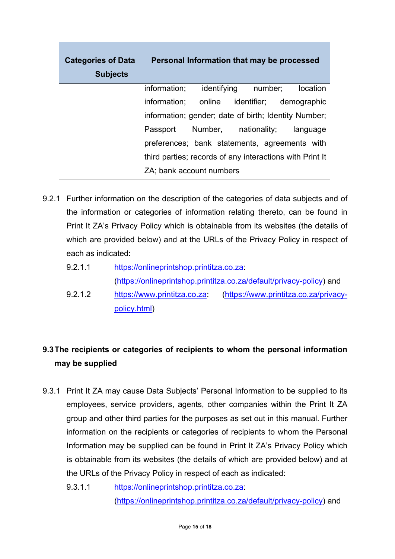| <b>Categories of Data</b><br><b>Subjects</b> | Personal Information that may be processed               |  |          |
|----------------------------------------------|----------------------------------------------------------|--|----------|
|                                              | information; identifying number;                         |  | location |
|                                              | information; online identifier; demographic              |  |          |
|                                              | information; gender; date of birth; Identity Number;     |  |          |
|                                              | Passport Number, nationality; language                   |  |          |
|                                              | preferences; bank statements, agreements with            |  |          |
|                                              | third parties; records of any interactions with Print It |  |          |
|                                              | ZA; bank account numbers                                 |  |          |

- 9.2.1 Further information on the description of the categories of data subjects and of the information or categories of information relating thereto, can be found in Print It ZA's Privacy Policy which is obtainable from its websites (the details of which are provided below) and at the URLs of the Privacy Policy in respect of each as indicated:
	- 9.2.1.1 https://onlineprintshop.printitza.co.za: (https://onlineprintshop.printitza.co.za/default/privacy-policy) and
	- 9.2.1.2 https://www.printitza.co.za: (https://www.printitza.co.za/privacypolicy.html)

## **9.3The recipients or categories of recipients to whom the personal information may be supplied**

- 9.3.1 Print It ZA may cause Data Subjects' Personal Information to be supplied to its employees, service providers, agents, other companies within the Print It ZA group and other third parties for the purposes as set out in this manual. Further information on the recipients or categories of recipients to whom the Personal Information may be supplied can be found in Print It ZA's Privacy Policy which is obtainable from its websites (the details of which are provided below) and at the URLs of the Privacy Policy in respect of each as indicated:
	- 9.3.1.1 https://onlineprintshop.printitza.co.za: (https://onlineprintshop.printitza.co.za/default/privacy-policy) and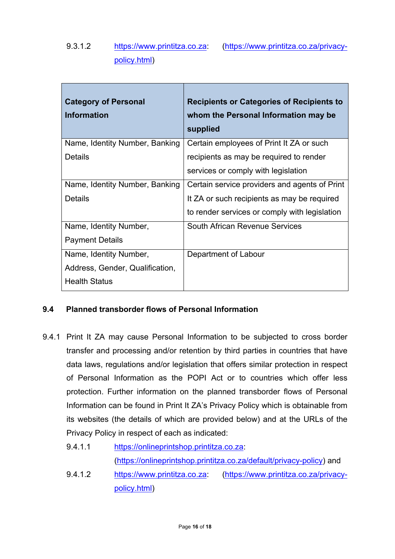## 9.3.1.2 https://www.printitza.co.za: (https://www.printitza.co.za/privacypolicy.html)

| <b>Category of Personal</b><br><b>Information</b> | <b>Recipients or Categories of Recipients to</b><br>whom the Personal Information may be<br>supplied |
|---------------------------------------------------|------------------------------------------------------------------------------------------------------|
| Name, Identity Number, Banking                    | Certain employees of Print It ZA or such                                                             |
| Details                                           | recipients as may be required to render                                                              |
|                                                   | services or comply with legislation                                                                  |
| Name, Identity Number, Banking                    | Certain service providers and agents of Print                                                        |
| <b>Details</b>                                    | It ZA or such recipients as may be required                                                          |
|                                                   | to render services or comply with legislation                                                        |
| Name, Identity Number,                            | South African Revenue Services                                                                       |
| <b>Payment Details</b>                            |                                                                                                      |
| Name, Identity Number,                            | Department of Labour                                                                                 |
| Address, Gender, Qualification,                   |                                                                                                      |
| <b>Health Status</b>                              |                                                                                                      |

#### **9.4 Planned transborder flows of Personal Information**

- 9.4.1 Print It ZA may cause Personal Information to be subjected to cross border transfer and processing and/or retention by third parties in countries that have data laws, regulations and/or legislation that offers similar protection in respect of Personal Information as the POPI Act or to countries which offer less protection. Further information on the planned transborder flows of Personal Information can be found in Print It ZA's Privacy Policy which is obtainable from its websites (the details of which are provided below) and at the URLs of the Privacy Policy in respect of each as indicated:
	- 9.4.1.1 https://onlineprintshop.printitza.co.za: (https://onlineprintshop.printitza.co.za/default/privacy-policy) and
	- 9.4.1.2 https://www.printitza.co.za: (https://www.printitza.co.za/privacypolicy.html)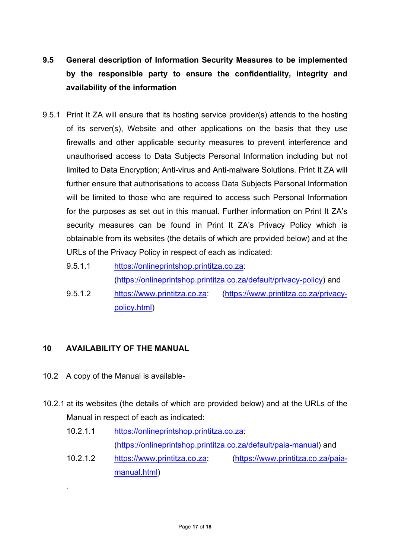- **9.5 General description of Information Security Measures to be implemented by the responsible party to ensure the confidentiality, integrity and availability of the information**
- 9.5.1 Print It ZA will ensure that its hosting service provider(s) attends to the hosting of its server(s), Website and other applications on the basis that they use firewalls and other applicable security measures to prevent interference and unauthorised access to Data Subjects Personal Information including but not limited to Data Encryption; Anti-virus and Anti-malware Solutions*.* Print It ZA will further ensure that authorisations to access Data Subjects Personal Information will be limited to those who are required to access such Personal Information for the purposes as set out in this manual. Further information on Print It ZA's security measures can be found in Print It ZA's Privacy Policy which is obtainable from its websites (the details of which are provided below) and at the URLs of the Privacy Policy in respect of each as indicated:
	- 9.5.1.1 https://onlineprintshop.printitza.co.za: (https://onlineprintshop.printitza.co.za/default/privacy-policy) and
	- 9.5.1.2 https://www.printitza.co.za: (https://www.printitza.co.za/privacypolicy.html)

## **10 AVAILABILITY OF THE MANUAL**

10.2 A copy of the Manual is available-

.

- 10.2.1 at its websites (the details of which are provided below) and at the URLs of the Manual in respect of each as indicated:
	- 10.2.1.1 https://onlineprintshop.printitza.co.za: (https://onlineprintshop.printitza.co.za/default/paia-manual) and
	- 10.2.1.2 https://www.printitza.co.za: (https://www.printitza.co.za/paiamanual.html)